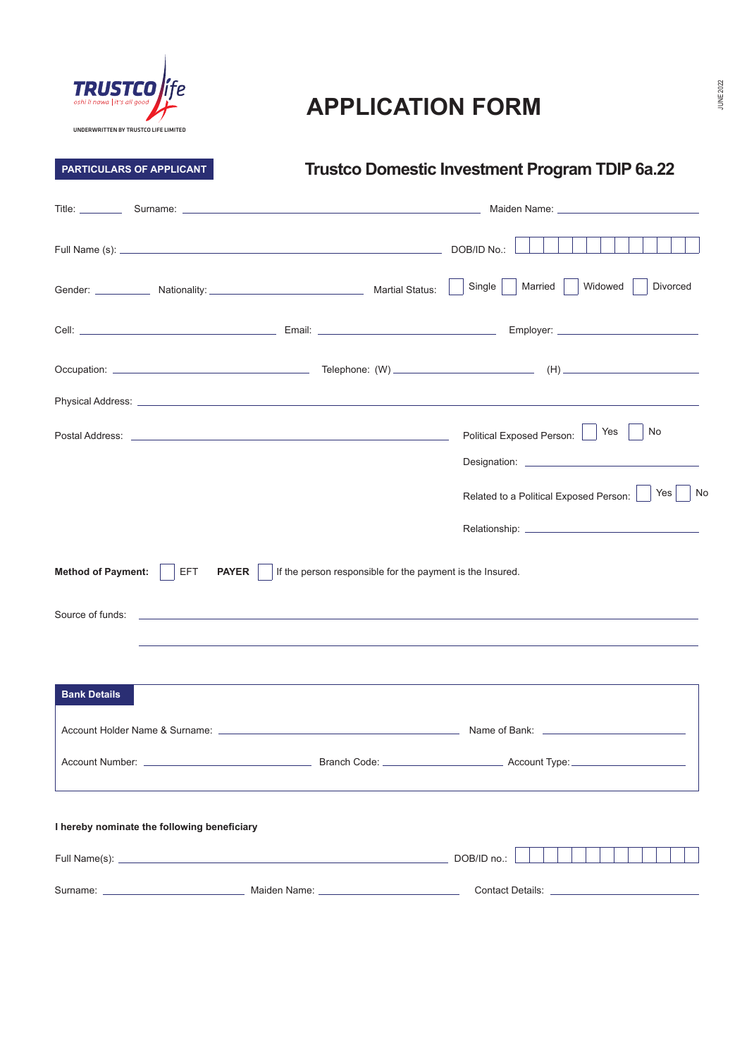

## **APPLICATION FORM**

## **PARTICULARS OF APPLICANT**

## **Trustco Domestic Investment Program TDIP 6a.22**

|                                                                                                                                                                                                                               | Gender: Nationality: Mationality: Nationality: Nartial Status: |  | Widowed<br>Single<br>Married  <br><b>Divorced</b>                                             |  |
|-------------------------------------------------------------------------------------------------------------------------------------------------------------------------------------------------------------------------------|----------------------------------------------------------------|--|-----------------------------------------------------------------------------------------------|--|
|                                                                                                                                                                                                                               |                                                                |  |                                                                                               |  |
|                                                                                                                                                                                                                               |                                                                |  |                                                                                               |  |
|                                                                                                                                                                                                                               |                                                                |  |                                                                                               |  |
|                                                                                                                                                                                                                               |                                                                |  | No<br>Yes<br>Political Exposed Person:<br>Yes<br>No<br>Related to a Political Exposed Person: |  |
|                                                                                                                                                                                                                               |                                                                |  |                                                                                               |  |
| EFT<br>If the person responsible for the payment is the Insured.<br><b>Method of Payment:</b><br><b>PAYER</b><br>Source of funds:<br>, <u>一个人的</u> 人们就是一个人的人,我们就是一个人的人,我们就是一个人的人,我们就是一个人的人,我们就是一个人的人,我们就是一个人的人,我们就是一个人的人,我们就是 |                                                                |  |                                                                                               |  |
| <b>Bank Details</b>                                                                                                                                                                                                           |                                                                |  |                                                                                               |  |
|                                                                                                                                                                                                                               |                                                                |  |                                                                                               |  |
|                                                                                                                                                                                                                               |                                                                |  |                                                                                               |  |
|                                                                                                                                                                                                                               | I hereby nominate the following beneficiary                    |  |                                                                                               |  |
|                                                                                                                                                                                                                               |                                                                |  | DOB/ID no.:                                                                                   |  |
|                                                                                                                                                                                                                               |                                                                |  |                                                                                               |  |